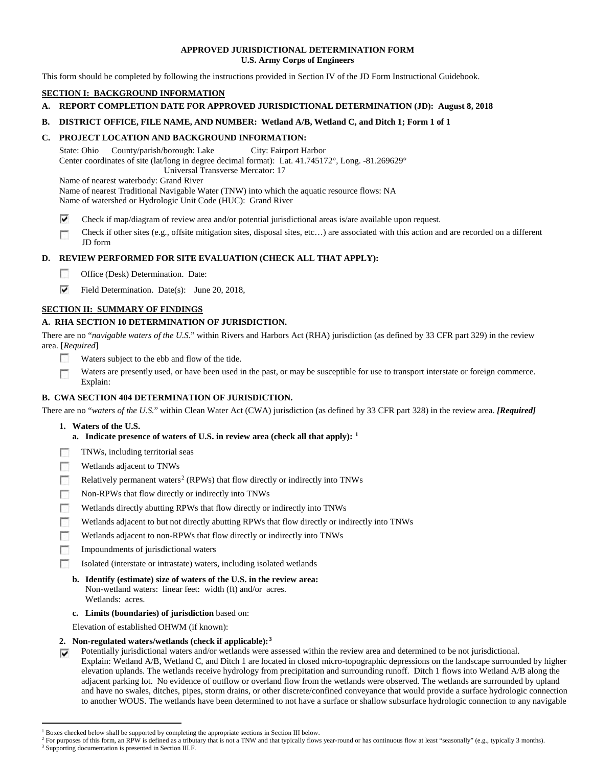## **APPROVED JURISDICTIONAL DETERMINATION FORM U.S. Army Corps of Engineers**

This form should be completed by following the instructions provided in Section IV of the JD Form Instructional Guidebook.

# **SECTION I: BACKGROUND INFORMATION**

# **A. REPORT COMPLETION DATE FOR APPROVED JURISDICTIONAL DETERMINATION (JD): August 8, 2018**

# **B. DISTRICT OFFICE, FILE NAME, AND NUMBER: Wetland A/B, Wetland C, and Ditch 1; Form 1 of 1**

# **C. PROJECT LOCATION AND BACKGROUND INFORMATION:**

State: Ohio County/parish/borough: Lake City: Fairport Harbor Center coordinates of site (lat/long in degree decimal format): Lat. 41.745172°, Long. -81.269629° Universal Transverse Mercator: 17

Name of nearest waterbody: Grand River

Name of nearest Traditional Navigable Water (TNW) into which the aquatic resource flows: NA

Name of watershed or Hydrologic Unit Code (HUC): Grand River

⊽ Check if map/diagram of review area and/or potential jurisdictional areas is/are available upon request.

Check if other sites (e.g., offsite mitigation sites, disposal sites, etc…) are associated with this action and are recorded on a different г JD form

# **D. REVIEW PERFORMED FOR SITE EVALUATION (CHECK ALL THAT APPLY):**

- $\sim$ Office (Desk) Determination. Date:
- ⊽ Field Determination. Date(s): June 20, 2018,

# **SECTION II: SUMMARY OF FINDINGS**

# **A. RHA SECTION 10 DETERMINATION OF JURISDICTION.**

There are no "*navigable waters of the U.S.*" within Rivers and Harbors Act (RHA) jurisdiction (as defined by 33 CFR part 329) in the review area. [*Required*]

- п Waters subject to the ebb and flow of the tide.
- Waters are presently used, or have been used in the past, or may be susceptible for use to transport interstate or foreign commerce. п Explain:

# **B. CWA SECTION 404 DETERMINATION OF JURISDICTION.**

There are no "*waters of the U.S.*" within Clean Water Act (CWA) jurisdiction (as defined by 33 CFR part 328) in the review area. *[Required]*

- **1. Waters of the U.S.**
	- **a. Indicate presence of waters of U.S. in review area (check all that apply): [1](#page-0-0)**
- 同 TNWs, including territorial seas
- n Wetlands adjacent to TNWs
- n Relatively permanent waters<sup>[2](#page-0-1)</sup> (RPWs) that flow directly or indirectly into TNWs
- **In** Non-RPWs that flow directly or indirectly into TNWs
- п Wetlands directly abutting RPWs that flow directly or indirectly into TNWs
- Wetlands adjacent to but not directly abutting RPWs that flow directly or indirectly into TNWs г
- п Wetlands adjacent to non-RPWs that flow directly or indirectly into TNWs
- n. Impoundments of jurisdictional waters
- Isolated (interstate or intrastate) waters, including isolated wetlands п
	- **b. Identify (estimate) size of waters of the U.S. in the review area:** Non-wetland waters: linear feet: width (ft) and/or acres. Wetlands: acres.
	- **c. Limits (boundaries) of jurisdiction** based on:

Elevation of established OHWM (if known):

# **2. Non-regulated waters/wetlands (check if applicable):[3](#page-0-2)**

Potentially jurisdictional waters and/or wetlands were assessed within the review area and determined to be not jurisdictional. ⊽ Explain: Wetland A/B, Wetland C, and Ditch 1 are located in closed micro-topographic depressions on the landscape surrounded by higher elevation uplands. The wetlands receive hydrology from precipitation and surrounding runoff. Ditch 1 flows into Wetland A/B along the adjacent parking lot. No evidence of outflow or overland flow from the wetlands were observed. The wetlands are surrounded by upland and have no swales, ditches, pipes, storm drains, or other discrete/confined conveyance that would provide a surface hydrologic connection to another WOUS. The wetlands have been determined to not have a surface or shallow subsurface hydrologic connection to any navigable

<sup>&</sup>lt;sup>1</sup> Boxes checked below shall be supported by completing the appropriate sections in Section III below.

<span id="page-0-1"></span><span id="page-0-0"></span>For purposes of this form, an RPW is defined as a tributary that is not a TNW and that typically flows year-round or has continuous flow at least "seasonally" (e.g., typically 3 months).

<span id="page-0-2"></span><sup>&</sup>lt;sup>3</sup> Supporting documentation is presented in Section III.F.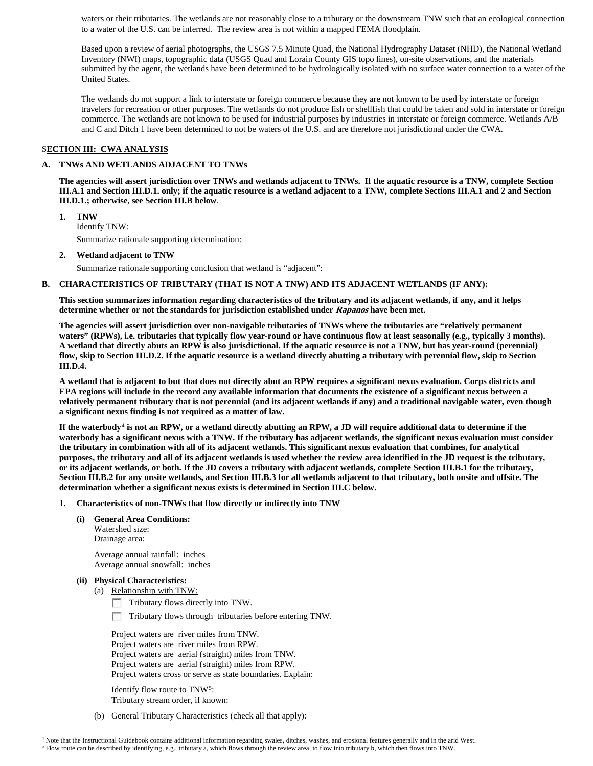waters or their tributaries. The wetlands are not reasonably close to a tributary or the downstream TNW such that an ecological connection to a water of the U.S. can be inferred. The review area is not within a mapped FEMA floodplain.

Based upon a review of aerial photographs, the USGS 7.5 Minute Quad, the National Hydrography Dataset (NHD), the National Wetland Inventory (NWI) maps, topographic data (USGS Quad and Lorain County GIS topo lines), on-site observations, and the materials submitted by the agent, the wetlands have been determined to be hydrologically isolated with no surface water connection to a water of the United States.

The wetlands do not support a link to interstate or foreign commerce because they are not known to be used by interstate or foreign travelers for recreation or other purposes. The wetlands do not produce fish or shellfish that could be taken and sold in interstate or foreign commerce. The wetlands are not known to be used for industrial purposes by industries in interstate or foreign commerce. Wetlands A/B and C and Ditch 1 have been determined to not be waters of the U.S. and are therefore not jurisdictional under the CWA.

## S**ECTION III: CWA ANALYSIS**

### **A. TNWs AND WETLANDS ADJACENT TO TNWs**

**The agencies will assert jurisdiction over TNWs and wetlands adjacent to TNWs. If the aquatic resource is a TNW, complete Section III.A.1 and Section III.D.1. only; if the aquatic resource is a wetland adjacent to a TNW, complete Sections III.A.1 and 2 and Section III.D.1.; otherwise, see Section III.B below**.

**1. TNW**  Identify TNW: Summarize rationale supporting determination:

**2. Wetland adjacent to TNW**

Summarize rationale supporting conclusion that wetland is "adjacent":

#### **B. CHARACTERISTICS OF TRIBUTARY (THAT IS NOT A TNW) AND ITS ADJACENT WETLANDS (IF ANY):**

**This section summarizes information regarding characteristics of the tributary and its adjacent wetlands, if any, and it helps determine whether or not the standards for jurisdiction established under Rapanos have been met.** 

**The agencies will assert jurisdiction over non-navigable tributaries of TNWs where the tributaries are "relatively permanent waters" (RPWs), i.e. tributaries that typically flow year-round or have continuous flow at least seasonally (e.g., typically 3 months). A wetland that directly abuts an RPW is also jurisdictional. If the aquatic resource is not a TNW, but has year-round (perennial) flow, skip to Section III.D.2. If the aquatic resource is a wetland directly abutting a tributary with perennial flow, skip to Section III.D.4.**

**A wetland that is adjacent to but that does not directly abut an RPW requires a significant nexus evaluation. Corps districts and EPA regions will include in the record any available information that documents the existence of a significant nexus between a relatively permanent tributary that is not perennial (and its adjacent wetlands if any) and a traditional navigable water, even though a significant nexus finding is not required as a matter of law.**

**If the waterbody[4](#page-1-0) is not an RPW, or a wetland directly abutting an RPW, a JD will require additional data to determine if the waterbody has a significant nexus with a TNW. If the tributary has adjacent wetlands, the significant nexus evaluation must consider the tributary in combination with all of its adjacent wetlands. This significant nexus evaluation that combines, for analytical purposes, the tributary and all of its adjacent wetlands is used whether the review area identified in the JD request is the tributary, or its adjacent wetlands, or both. If the JD covers a tributary with adjacent wetlands, complete Section III.B.1 for the tributary, Section III.B.2 for any onsite wetlands, and Section III.B.3 for all wetlands adjacent to that tributary, both onsite and offsite. The determination whether a significant nexus exists is determined in Section III.C below.**

#### **1. Characteristics of non-TNWs that flow directly or indirectly into TNW**

**(i) General Area Conditions:**

Watershed size: Drainage area:

Average annual rainfall: inches Average annual snowfall: inches

#### **(ii) Physical Characteristics:**

(a) Relationship with TNW:

Tributary flows directly into TNW.

Tributary flows through tributaries before entering TNW.

Project waters are river miles from TNW. Project waters are river miles from RPW. Project waters are aerial (straight) miles from TNW. Project waters are aerial (straight) miles from RPW. Project waters cross or serve as state boundaries. Explain:

Identify flow route to TNW[5:](#page-1-1) Tributary stream order, if known:

(b) General Tributary Characteristics (check all that apply):

<span id="page-1-1"></span><span id="page-1-0"></span> <sup>4</sup> Note that the Instructional Guidebook contains additional information regarding swales, ditches, washes, and erosional features generally and in the arid West. <sup>5</sup> Flow route can be described by identifying, e.g., tributary a, which flows through the review area, to flow into tributary b, which then flows into TNW.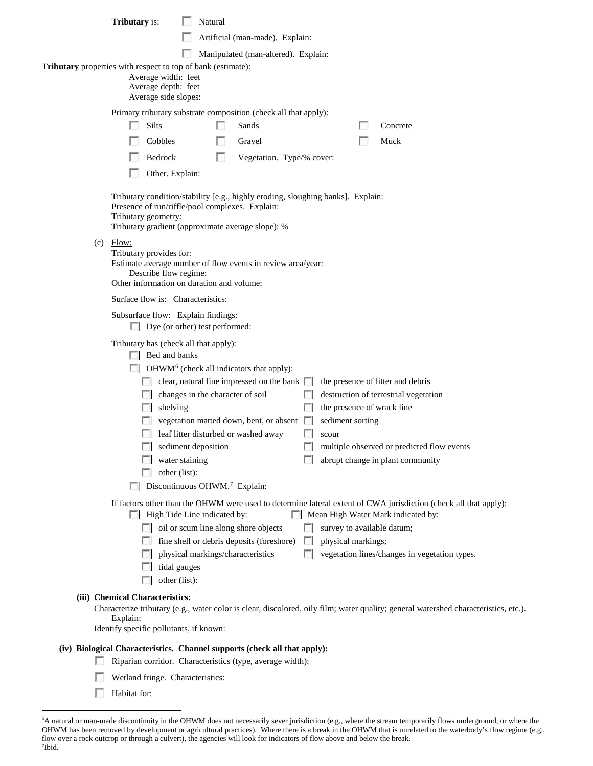|     | <b>Tributary</b> is:                                                                                                                                                                                                                                                                                                                                                                    | Natural                                                                                                                                                                                |                                                                                                                                                                   |                   |                    |                                                                                                                                                                                                                                       |  |
|-----|-----------------------------------------------------------------------------------------------------------------------------------------------------------------------------------------------------------------------------------------------------------------------------------------------------------------------------------------------------------------------------------------|----------------------------------------------------------------------------------------------------------------------------------------------------------------------------------------|-------------------------------------------------------------------------------------------------------------------------------------------------------------------|-------------------|--------------------|---------------------------------------------------------------------------------------------------------------------------------------------------------------------------------------------------------------------------------------|--|
|     |                                                                                                                                                                                                                                                                                                                                                                                         |                                                                                                                                                                                        | Artificial (man-made). Explain:                                                                                                                                   |                   |                    |                                                                                                                                                                                                                                       |  |
|     |                                                                                                                                                                                                                                                                                                                                                                                         |                                                                                                                                                                                        | Manipulated (man-altered). Explain:                                                                                                                               |                   |                    |                                                                                                                                                                                                                                       |  |
|     | Tributary properties with respect to top of bank (estimate):<br>Average width: feet<br>Average depth: feet<br>Average side slopes:                                                                                                                                                                                                                                                      |                                                                                                                                                                                        |                                                                                                                                                                   |                   |                    |                                                                                                                                                                                                                                       |  |
|     | Primary tributary substrate composition (check all that apply):<br>Silts<br>Sands<br>Concrete                                                                                                                                                                                                                                                                                           |                                                                                                                                                                                        |                                                                                                                                                                   |                   |                    |                                                                                                                                                                                                                                       |  |
|     | Cobbles                                                                                                                                                                                                                                                                                                                                                                                 |                                                                                                                                                                                        | Gravel                                                                                                                                                            |                   |                    | Muck                                                                                                                                                                                                                                  |  |
|     | Bedrock                                                                                                                                                                                                                                                                                                                                                                                 | $\sim$                                                                                                                                                                                 | Vegetation. Type/% cover:                                                                                                                                         |                   |                    |                                                                                                                                                                                                                                       |  |
|     | Other. Explain:                                                                                                                                                                                                                                                                                                                                                                         |                                                                                                                                                                                        |                                                                                                                                                                   |                   |                    |                                                                                                                                                                                                                                       |  |
| (c) | Tributary condition/stability [e.g., highly eroding, sloughing banks]. Explain:<br>Presence of run/riffle/pool complexes. Explain:<br>Tributary geometry:<br>Tributary gradient (approximate average slope): %<br>Flow:<br>Tributary provides for:<br>Estimate average number of flow events in review area/year:<br>Describe flow regime:<br>Other information on duration and volume: |                                                                                                                                                                                        |                                                                                                                                                                   |                   |                    |                                                                                                                                                                                                                                       |  |
|     | Surface flow is: Characteristics:                                                                                                                                                                                                                                                                                                                                                       |                                                                                                                                                                                        |                                                                                                                                                                   |                   |                    |                                                                                                                                                                                                                                       |  |
|     | Subsurface flow: Explain findings:<br>$\Box$ Dye (or other) test performed:                                                                                                                                                                                                                                                                                                             |                                                                                                                                                                                        |                                                                                                                                                                   |                   |                    |                                                                                                                                                                                                                                       |  |
|     | Tributary has (check all that apply):<br>$\Box$ Bed and banks<br>shelving                                                                                                                                                                                                                                                                                                               | changes in the character of soil<br>leaf litter disturbed or washed away<br>$\Box$ sediment deposition<br>water staining<br>other (list):<br>Discontinuous OHWM. <sup>7</sup> Explain: | OHWM <sup>6</sup> (check all indicators that apply):<br>$\Box$ clear, natural line impressed on the bank $\Box$<br>vegetation matted down, bent, or absent $\Box$ | L.<br>L.<br>scour | sediment sorting   | the presence of litter and debris<br>destruction of terrestrial vegetation<br>the presence of wrack line<br>multiple observed or predicted flow events<br>abrupt change in plant community                                            |  |
|     |                                                                                                                                                                                                                                                                                                                                                                                         | $\Box$ High Tide Line indicated by:<br>$\Box$ oil or scum line along shore objects<br>physical markings/characteristics<br>tidal gauges<br>other (list):                               | fine shell or debris deposits (foreshore)                                                                                                                         | $\mathbf{L}$      | physical markings; | If factors other than the OHWM were used to determine lateral extent of CWA jurisdiction (check all that apply):<br>Mean High Water Mark indicated by:<br>survey to available datum;<br>vegetation lines/changes in vegetation types. |  |
|     | (iii) Chemical Characteristics:<br>Explain:<br>Identify specific pollutants, if known:                                                                                                                                                                                                                                                                                                  |                                                                                                                                                                                        |                                                                                                                                                                   |                   |                    | Characterize tributary (e.g., water color is clear, discolored, oily film; water quality; general watershed characteristics, etc.).                                                                                                   |  |
|     | (iv) Biological Characteristics. Channel supports (check all that apply):                                                                                                                                                                                                                                                                                                               |                                                                                                                                                                                        |                                                                                                                                                                   |                   |                    |                                                                                                                                                                                                                                       |  |
|     |                                                                                                                                                                                                                                                                                                                                                                                         |                                                                                                                                                                                        | Riparian corridor. Characteristics (type, average width):                                                                                                         |                   |                    |                                                                                                                                                                                                                                       |  |
|     | Wetland fringe. Characteristics:                                                                                                                                                                                                                                                                                                                                                        |                                                                                                                                                                                        |                                                                                                                                                                   |                   |                    |                                                                                                                                                                                                                                       |  |

**Habitat for:** 

<span id="page-2-1"></span><span id="page-2-0"></span> <sup>6</sup> A natural or man-made discontinuity in the OHWM does not necessarily sever jurisdiction (e.g., where the stream temporarily flows underground, or where the OHWM has been removed by development or agricultural practices). Where there is a break in the OHWM that is unrelated to the waterbody's flow regime (e.g., flow over a rock outcrop or through a culvert), the agencies will look for indicators of flow above and below the break. 7 Ibid.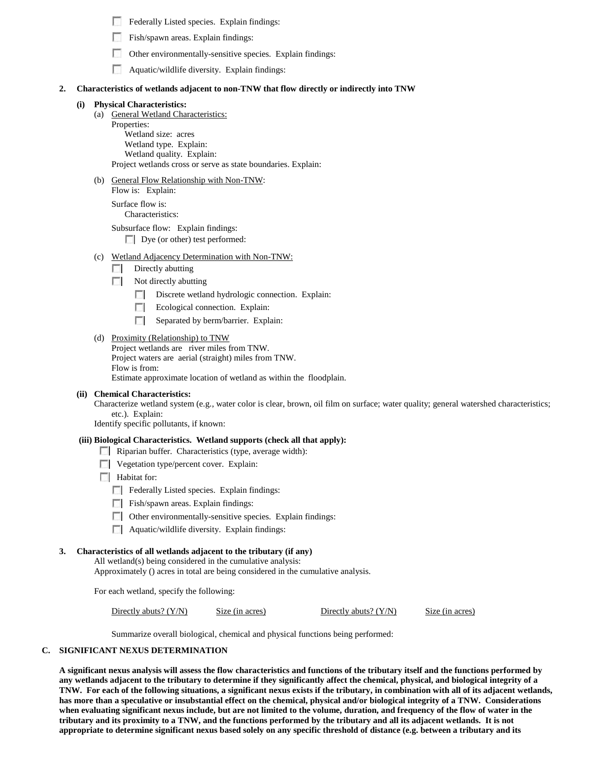| Federally Listed species. Explain findings: |  |
|---------------------------------------------|--|
|---------------------------------------------|--|

- г Fish/spawn areas. Explain findings:
- п Other environmentally-sensitive species. Explain findings:
- Aquatic/wildlife diversity. Explain findings:

### **2. Characteristics of wetlands adjacent to non-TNW that flow directly or indirectly into TNW**

#### **(i) Physical Characteristics:**

(a) General Wetland Characteristics:

Properties: Wetland size: acres Wetland type. Explain: Wetland quality. Explain: Project wetlands cross or serve as state boundaries. Explain:

(b) General Flow Relationship with Non-TNW:

Flow is: Explain: Surface flow is:

Characteristics:

Subsurface flow: Explain findings:

Dye (or other) test performed:

- (c) Wetland Adjacency Determination with Non-TNW:
	- Directly abutting  $\Box$
	- $\sqrt{2}$ Not directly abutting
		- Discrete wetland hydrologic connection. Explain:
		- п Ecological connection. Explain:
		- $\sim 100$ Separated by berm/barrier. Explain:
- (d) Proximity (Relationship) to TNW

Project wetlands are river miles from TNW. Project waters are aerial (straight) miles from TNW. Flow is from:

Estimate approximate location of wetland as within the floodplain.

#### **(ii) Chemical Characteristics:**

Characterize wetland system (e.g., water color is clear, brown, oil film on surface; water quality; general watershed characteristics; etc.). Explain:

Identify specific pollutants, if known:

#### **(iii) Biological Characteristics. Wetland supports (check all that apply):**

- Riparian buffer. Characteristics (type, average width):
- **Vegetation type/percent cover. Explain:**
- **Habitat for:** 
	- Federally Listed species. Explain findings:
	- $\Box$  Fish/spawn areas. Explain findings:
	- Other environmentally-sensitive species. Explain findings:
	- **Aquatic/wildlife diversity. Explain findings:**

# **3. Characteristics of all wetlands adjacent to the tributary (if any)**

All wetland(s) being considered in the cumulative analysis:

Approximately () acres in total are being considered in the cumulative analysis.

For each wetland, specify the following:

Directly abuts? (Y/N) Size (in acres) Directly abuts? (Y/N) Size (in acres)

Summarize overall biological, chemical and physical functions being performed:

### **C. SIGNIFICANT NEXUS DETERMINATION**

**A significant nexus analysis will assess the flow characteristics and functions of the tributary itself and the functions performed by any wetlands adjacent to the tributary to determine if they significantly affect the chemical, physical, and biological integrity of a TNW. For each of the following situations, a significant nexus exists if the tributary, in combination with all of its adjacent wetlands, has more than a speculative or insubstantial effect on the chemical, physical and/or biological integrity of a TNW. Considerations when evaluating significant nexus include, but are not limited to the volume, duration, and frequency of the flow of water in the tributary and its proximity to a TNW, and the functions performed by the tributary and all its adjacent wetlands. It is not appropriate to determine significant nexus based solely on any specific threshold of distance (e.g. between a tributary and its**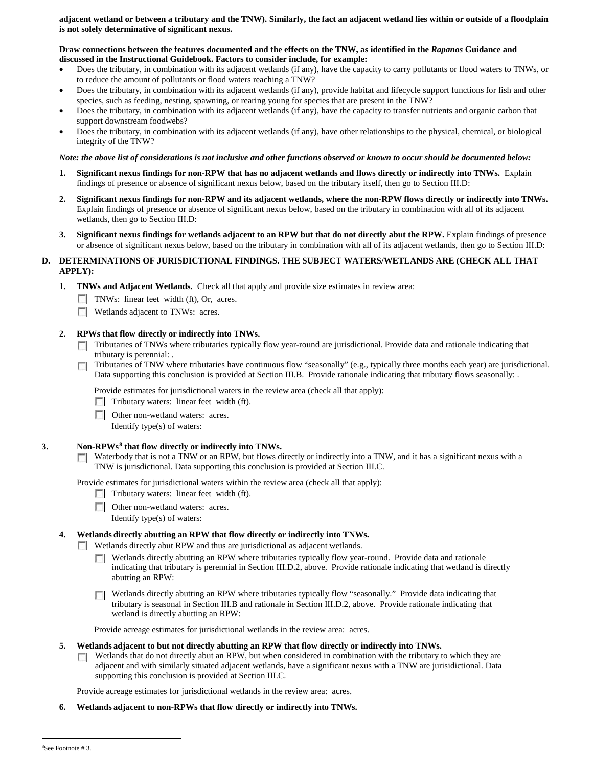**adjacent wetland or between a tributary and the TNW). Similarly, the fact an adjacent wetland lies within or outside of a floodplain is not solely determinative of significant nexus.** 

#### **Draw connections between the features documented and the effects on the TNW, as identified in the** *Rapanos* **Guidance and discussed in the Instructional Guidebook. Factors to consider include, for example:**

- Does the tributary, in combination with its adjacent wetlands (if any), have the capacity to carry pollutants or flood waters to TNWs, or to reduce the amount of pollutants or flood waters reaching a TNW?
- Does the tributary, in combination with its adjacent wetlands (if any), provide habitat and lifecycle support functions for fish and other species, such as feeding, nesting, spawning, or rearing young for species that are present in the TNW?
- Does the tributary, in combination with its adjacent wetlands (if any), have the capacity to transfer nutrients and organic carbon that support downstream foodwebs?
- Does the tributary, in combination with its adjacent wetlands (if any), have other relationships to the physical, chemical, or biological integrity of the TNW?

## *Note: the above list of considerations is not inclusive and other functions observed or known to occur should be documented below:*

- **1. Significant nexus findings for non-RPW that has no adjacent wetlands and flows directly or indirectly into TNWs.** Explain findings of presence or absence of significant nexus below, based on the tributary itself, then go to Section III.D:
- **2. Significant nexus findings for non-RPW and its adjacent wetlands, where the non-RPW flows directly or indirectly into TNWs.**  Explain findings of presence or absence of significant nexus below, based on the tributary in combination with all of its adjacent wetlands, then go to Section III.D:
- **3. Significant nexus findings for wetlands adjacent to an RPW but that do not directly abut the RPW.** Explain findings of presence or absence of significant nexus below, based on the tributary in combination with all of its adjacent wetlands, then go to Section III.D:

### **D. DETERMINATIONS OF JURISDICTIONAL FINDINGS. THE SUBJECT WATERS/WETLANDS ARE (CHECK ALL THAT APPLY):**

**1. TNWs and Adjacent Wetlands.** Check all that apply and provide size estimates in review area:

- **TNWs:** linear feet width (ft), Or, acres.
- **Wetlands adjacent to TNWs: acres.**

### **2. RPWs that flow directly or indirectly into TNWs.**

- Tributaries of TNWs where tributaries typically flow year-round are jurisdictional. Provide data and rationale indicating that tributary is perennial: .
- Tributaries of TNW where tributaries have continuous flow "seasonally" (e.g., typically three months each year) are jurisdictional.  $\sim$ Data supporting this conclusion is provided at Section III.B. Provide rationale indicating that tributary flows seasonally: .

Provide estimates for jurisdictional waters in the review area (check all that apply):

- $\Box$  Tributary waters: linear feet width (ft).
- **Other non-wetland waters: acres.**

Identify type(s) of waters:

#### **3. Non-RPWs[8](#page-4-0) that flow directly or indirectly into TNWs.**

Waterbody that is not a TNW or an RPW, but flows directly or indirectly into a TNW, and it has a significant nexus with a TNW is jurisdictional. Data supporting this conclusion is provided at Section III.C.

Provide estimates for jurisdictional waters within the review area (check all that apply):

- Tributary waters: linear feet width (ft).
- Other non-wetland waters: acres.

Identify type(s) of waters:

#### **4. Wetlands directly abutting an RPW that flow directly or indirectly into TNWs.**

**Wetlands directly abut RPW and thus are jurisdictional as adjacent wetlands.** 

Wetlands directly abutting an RPW where tributaries typically flow year-round. Provide data and rationale **TI** indicating that tributary is perennial in Section III.D.2, above. Provide rationale indicating that wetland is directly abutting an RPW:

Wetlands directly abutting an RPW where tributaries typically flow "seasonally." Provide data indicating that tributary is seasonal in Section III.B and rationale in Section III.D.2, above. Provide rationale indicating that wetland is directly abutting an RPW:

Provide acreage estimates for jurisdictional wetlands in the review area: acres.

#### **5. Wetlands adjacent to but not directly abutting an RPW that flow directly or indirectly into TNWs.**

 $\Box$  Wetlands that do not directly abut an RPW, but when considered in combination with the tributary to which they are adjacent and with similarly situated adjacent wetlands, have a significant nexus with a TNW are jurisidictional. Data supporting this conclusion is provided at Section III.C.

Provide acreage estimates for jurisdictional wetlands in the review area: acres.

<span id="page-4-0"></span>**6. Wetlands adjacent to non-RPWs that flow directly or indirectly into TNWs.**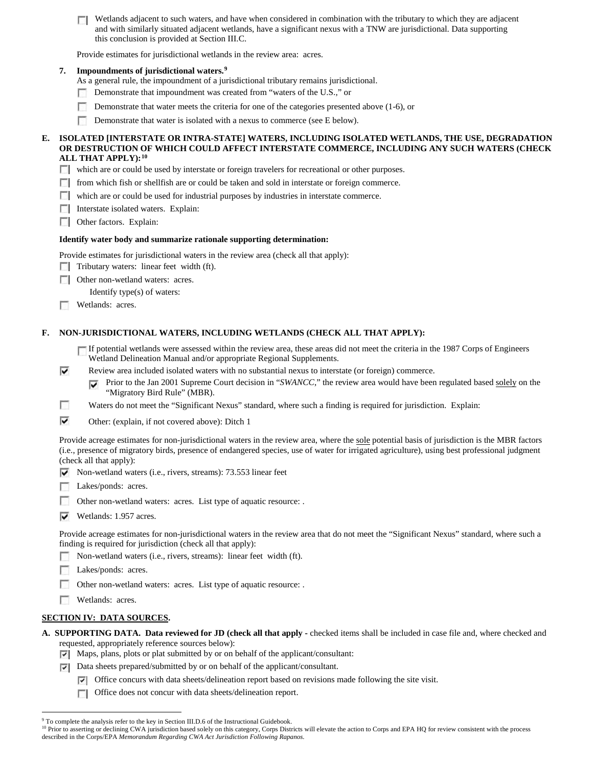Wetlands adjacent to such waters, and have when considered in combination with the tributary to which they are adjacent and with similarly situated adjacent wetlands, have a significant nexus with a TNW are jurisdictional. Data supporting this conclusion is provided at Section III.C.

Provide estimates for jurisdictional wetlands in the review area: acres.

## **7. Impoundments of jurisdictional waters. [9](#page-5-0)**

As a general rule, the impoundment of a jurisdictional tributary remains jurisdictional.

- Demonstrate that impoundment was created from "waters of the U.S.," or n
- Demonstrate that water meets the criteria for one of the categories presented above (1-6), or
- Demonstrate that water is isolated with a nexus to commerce (see E below).

#### **E. ISOLATED [INTERSTATE OR INTRA-STATE] WATERS, INCLUDING ISOLATED WETLANDS, THE USE, DEGRADATION OR DESTRUCTION OF WHICH COULD AFFECT INTERSTATE COMMERCE, INCLUDING ANY SUCH WATERS (CHECK ALL THAT APPLY):[10](#page-5-1)**

- which are or could be used by interstate or foreign travelers for recreational or other purposes.
- $\Box$  from which fish or shellfish are or could be taken and sold in interstate or foreign commerce.
- which are or could be used for industrial purposes by industries in interstate commerce.
- Interstate isolated waters. Explain:
- **Other factors. Explain:**

#### **Identify water body and summarize rationale supporting determination:**

Provide estimates for jurisdictional waters in the review area (check all that apply):

- $\Box$  Tributary waters: linear feet width (ft).
- □ Other non-wetland waters: acres.

Identify type(s) of waters:

**Wetlands: acres.** 

# **F. NON-JURISDICTIONAL WATERS, INCLUDING WETLANDS (CHECK ALL THAT APPLY):**

If potential wetlands were assessed within the review area, these areas did not meet the criteria in the 1987 Corps of Engineers Wetland Delineation Manual and/or appropriate Regional Supplements.

- ⊽ Review area included isolated waters with no substantial nexus to interstate (or foreign) commerce.
	- Prior to the Jan 2001 Supreme Court decision in "*SWANCC*," the review area would have been regulated based solely on the ⊽ "Migratory Bird Rule" (MBR).
- г Waters do not meet the "Significant Nexus" standard, where such a finding is required for jurisdiction. Explain:
- ⊽ Other: (explain, if not covered above): Ditch 1

Provide acreage estimates for non-jurisdictional waters in the review area, where the sole potential basis of jurisdiction is the MBR factors (i.e., presence of migratory birds, presence of endangered species, use of water for irrigated agriculture), using best professional judgment (check all that apply):

- $\triangledown$  Non-wetland waters (i.e., rivers, streams): 73.553 linear feet
- Lakes/ponds: acres.
- $\sim$ Other non-wetland waters: acres. List type of aquatic resource: .
- Wetlands: 1.957 acres.

Provide acreage estimates for non-jurisdictional waters in the review area that do not meet the "Significant Nexus" standard, where such a finding is required for jurisdiction (check all that apply):

- Non-wetland waters (i.e., rivers, streams): linear feet width (ft).
- Е Lakes/ponds: acres.
- Other non-wetland waters: acres. List type of aquatic resource: .
- Wetlands: acres.

#### **SECTION IV: DATA SOURCES.**

- **A. SUPPORTING DATA. Data reviewed for JD (check all that apply -** checked items shall be included in case file and, where checked and requested, appropriately reference sources below):
	- Maps, plans, plots or plat submitted by or on behalf of the applicant/consultant:
	- $\nabla$  Data sheets prepared/submitted by or on behalf of the applicant/consultant.
		- Office concurs with data sheets/delineation report based on revisions made following the site visit.
		- Office does not concur with data sheets/delineation report.

<sup>&</sup>lt;sup>9</sup> To complete the analysis refer to the key in Section III.D.6 of the Instructional Guidebook.

<span id="page-5-1"></span><span id="page-5-0"></span><sup>&</sup>lt;sup>10</sup> Prior to asserting or declining CWA jurisdiction based solely on this category, Corps Districts will elevate the action to Corps and EPA HQ for review consistent with the process described in the Corps/EPA *Memorandum Regarding CWA Act Jurisdiction Following Rapanos.*